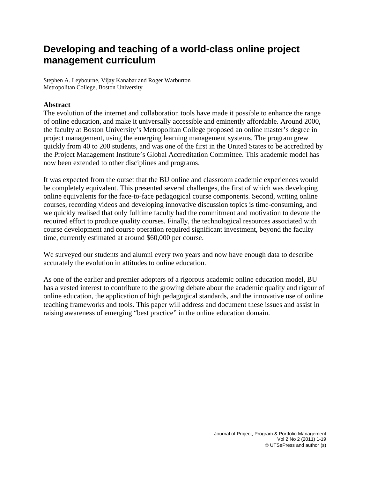# **Developing and teaching of a world-class online project management curriculum**

Stephen A. Leybourne, Vijay Kanabar and Roger Warburton Metropolitan College, Boston University

# **Abstract**

The evolution of the internet and collaboration tools have made it possible to enhance the range of online education, and make it universally accessible and eminently affordable. Around 2000, the faculty at Boston University's Metropolitan College proposed an online master's degree in project management, using the emerging learning management systems. The program grew quickly from 40 to 200 students, and was one of the first in the United States to be accredited by the Project Management Institute's Global Accreditation Committee. This academic model has now been extended to other disciplines and programs.

It was expected from the outset that the BU online and classroom academic experiences would be completely equivalent. This presented several challenges, the first of which was developing online equivalents for the face-to-face pedagogical course components. Second, writing online courses, recording videos and developing innovative discussion topics is time-consuming, and we quickly realised that only fulltime faculty had the commitment and motivation to devote the required effort to produce quality courses. Finally, the technological resources associated with course development and course operation required significant investment, beyond the faculty time, currently estimated at around \$60,000 per course.

We surveyed our students and alumni every two years and now have enough data to describe accurately the evolution in attitudes to online education.

As one of the earlier and premier adopters of a rigorous academic online education model, BU has a vested interest to contribute to the growing debate about the academic quality and rigour of online education, the application of high pedagogical standards, and the innovative use of online teaching frameworks and tools. This paper will address and document these issues and assist in raising awareness of emerging "best practice" in the online education domain.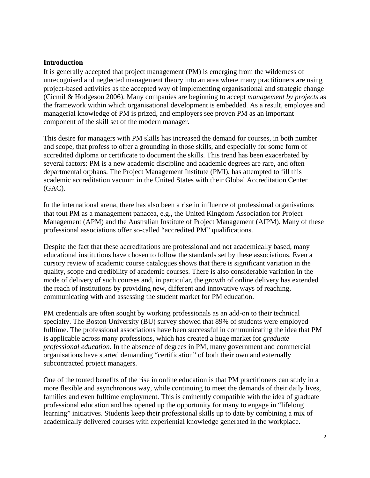## **Introduction**

It is generally accepted that project management (PM) is emerging from the wilderness of unrecognised and neglected management theory into an area where many practitioners are using project-based activities as the accepted way of implementing organisational and strategic change (Cicmil & Hodgeson 2006). Many companies are beginning to accept *management by projects* as the framework within which organisational development is embedded. As a result, employee and managerial knowledge of PM is prized, and employers see proven PM as an important component of the skill set of the modern manager.

This desire for managers with PM skills has increased the demand for courses, in both number and scope, that profess to offer a grounding in those skills, and especially for some form of accredited diploma or certificate to document the skills. This trend has been exacerbated by several factors: PM is a new academic discipline and academic degrees are rare, and often departmental orphans. The Project Management Institute (PMI), has attempted to fill this academic accreditation vacuum in the United States with their Global Accreditation Center (GAC).

In the international arena, there has also been a rise in influence of professional organisations that tout PM as a management panacea, e.g., the United Kingdom Association for Project Management (APM) and the Australian Institute of Project Management (AIPM). Many of these professional associations offer so-called "accredited PM" qualifications.

Despite the fact that these accreditations are professional and not academically based, many educational institutions have chosen to follow the standards set by these associations. Even a cursory review of academic course catalogues shows that there is significant variation in the quality, scope and credibility of academic courses. There is also considerable variation in the mode of delivery of such courses and, in particular, the growth of online delivery has extended the reach of institutions by providing new, different and innovative ways of reaching, communicating with and assessing the student market for PM education.

PM credentials are often sought by working professionals as an add-on to their technical specialty. The Boston University (BU) survey showed that 89% of students were employed fulltime. The professional associations have been successful in communicating the idea that PM is applicable across many professions, which has created a huge market for *graduate professional education*. In the absence of degrees in PM, many government and commercial organisations have started demanding "certification" of both their own and externally subcontracted project managers.

One of the touted benefits of the rise in online education is that PM practitioners can study in a more flexible and asynchronous way, while continuing to meet the demands of their daily lives, families and even fulltime employment. This is eminently compatible with the idea of graduate professional education and has opened up the opportunity for many to engage in "lifelong learning" initiatives. Students keep their professional skills up to date by combining a mix of academically delivered courses with experiential knowledge generated in the workplace.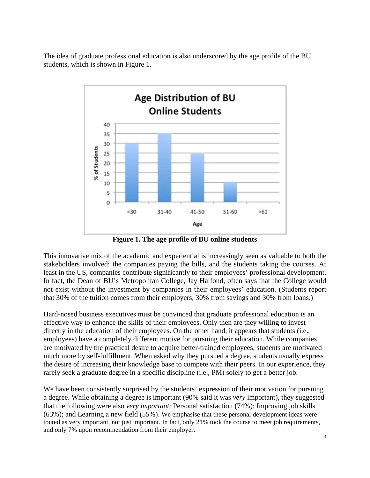The idea of graduate professional education is also underscored by the age profile of the BU students, which is shown in Figure 1.



**Figure 1. The age profile of BU online students** 

This innovative mix of the academic and experiential is increasingly seen as valuable to both the stakeholders involved: the companies paying the bills, and the students taking the courses. At least in the US, companies contribute significantly to their employees' professional development. In fact, the Dean of BU's Metropolitan College, Jay Halfond, often says that the College would not exist without the investment by companies in their employees' education. (Students report that 30% of the tuition comes from their employers, 30% from savings and 30% from loans.)

Hard-nosed business executives must be convinced that graduate professional education is an effective way to enhance the skills of their employees. Only then are they willing to invest directly in the education of their employees. On the other hand, it appears that students (i.e., employees) have a completely different motive for pursuing their education. While companies are motivated by the practical desire to acquire better-trained employees, students are motivated much more by self-fulfillment. When asked why they pursued a degree, students usually express the desire of increasing their knowledge base to compete with their peers. In our experience, they rarely seek a graduate degree in a specific discipline (i.e., PM) solely to get a better job.

We have been consistently surprised by the students' expression of their motivation for pursuing a degree. While obtaining a degree is important (90% said it was *very* important), they suggested that the following were also *very important*: Personal satisfaction (74%); Improving job skills (63%); and Learning a new field (55%). We emphasise that these personal development ideas were touted as very important, not just important. In fact, only 21% took the course to meet job requirements, and only 7% upon recommendation from their employer.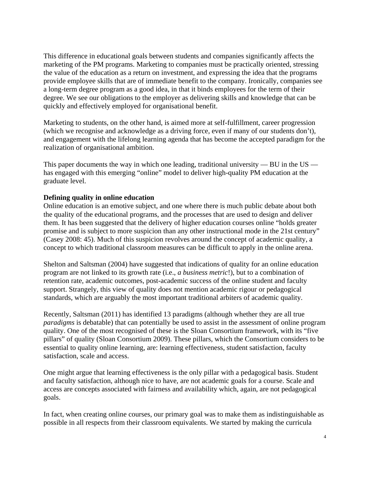This difference in educational goals between students and companies significantly affects the marketing of the PM programs. Marketing to companies must be practically oriented, stressing the value of the education as a return on investment, and expressing the idea that the programs provide employee skills that are of immediate benefit to the company. Ironically, companies see a long-term degree program as a good idea, in that it binds employees for the term of their degree. We see our obligations to the employer as delivering skills and knowledge that can be quickly and effectively employed for organisational benefit.

Marketing to students, on the other hand, is aimed more at self-fulfillment, career progression (which we recognise and acknowledge as a driving force, even if many of our students don't), and engagement with the lifelong learning agenda that has become the accepted paradigm for the realization of organisational ambition.

This paper documents the way in which one leading, traditional university  $-$  BU in the US  $$ has engaged with this emerging "online" model to deliver high-quality PM education at the graduate level.

## **Defining quality in online education**

Online education is an emotive subject, and one where there is much public debate about both the quality of the educational programs, and the processes that are used to design and deliver them. It has been suggested that the delivery of higher education courses online "holds greater promise and is subject to more suspicion than any other instructional mode in the 21st century" (Casey 2008: 45). Much of this suspicion revolves around the concept of academic quality, a concept to which traditional classroom measures can be difficult to apply in the online arena.

Shelton and Saltsman (2004) have suggested that indications of quality for an online education program are not linked to its growth rate (i.e., *a business metric*!), but to a combination of retention rate, academic outcomes, post-academic success of the online student and faculty support. Strangely, this view of quality does not mention academic rigour or pedagogical standards, which are arguably the most important traditional arbiters of academic quality.

Recently, Saltsman (2011) has identified 13 paradigms (although whether they are all true *paradigms* is debatable) that can potentially be used to assist in the assessment of online program quality. One of the most recognised of these is the Sloan Consortium framework, with its "five pillars" of quality (Sloan Consortium 2009). These pillars, which the Consortium considers to be essential to quality online learning, are: learning effectiveness, student satisfaction, faculty satisfaction, scale and access.

One might argue that learning effectiveness is the only pillar with a pedagogical basis. Student and faculty satisfaction, although nice to have, are not academic goals for a course. Scale and access are concepts associated with fairness and availability which, again, are not pedagogical goals.

In fact, when creating online courses, our primary goal was to make them as indistinguishable as possible in all respects from their classroom equivalents. We started by making the curricula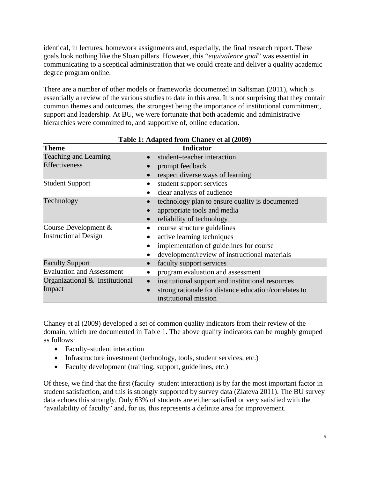identical, in lectures, homework assignments and, especially, the final research report. These goals look nothing like the Sloan pillars. However, this "*equivalence goal*" was essential in communicating to a sceptical administration that we could create and deliver a quality academic degree program online.

There are a number of other models or frameworks documented in Saltsman (2011), which is essentially a review of the various studies to date in this area. It is not surprising that they contain common themes and outcomes, the strongest being the importance of institutional commitment, support and leadership. At BU, we were fortunate that both academic and administrative hierarchies were committed to, and supportive of, online education.

| Table 1. Auapteu II um Chancy et al $(2007)$ |                                                       |  |
|----------------------------------------------|-------------------------------------------------------|--|
| <b>Theme</b>                                 | <b>Indicator</b>                                      |  |
| <b>Teaching and Learning</b>                 | student-teacher interaction                           |  |
| Effectiveness                                | prompt feedback                                       |  |
|                                              | respect diverse ways of learning                      |  |
| <b>Student Support</b>                       | student support services                              |  |
|                                              | clear analysis of audience                            |  |
| Technology                                   | technology plan to ensure quality is documented       |  |
|                                              | appropriate tools and media                           |  |
|                                              | reliability of technology                             |  |
| Course Development $&$                       | course structure guidelines                           |  |
| <b>Instructional Design</b>                  | active learning techniques                            |  |
|                                              | implementation of guidelines for course               |  |
|                                              | development/review of instructional materials         |  |
| <b>Faculty Support</b>                       | faculty support services                              |  |
| <b>Evaluation and Assessment</b>             | program evaluation and assessment                     |  |
| Organizational $\&$ Institutional            | institutional support and institutional resources     |  |
| Impact                                       | strong rationale for distance education/correlates to |  |
|                                              | institutional mission                                 |  |

**Table 1: Adapted from Chaney et al (2009)** 

Chaney et al (2009) developed a set of common quality indicators from their review of the domain, which are documented in Table 1. The above quality indicators can be roughly grouped as follows:

- Faculty–student interaction
- Infrastructure investment (technology, tools, student services, etc.)
- Faculty development (training, support, guidelines, etc.)

Of these, we find that the first (faculty–student interaction) is by far the most important factor in student satisfaction, and this is strongly supported by survey data (Zlateva 2011). The BU survey data echoes this strongly. Only 63% of students are either satisfied or very satisfied with the "availability of faculty" and, for us, this represents a definite area for improvement.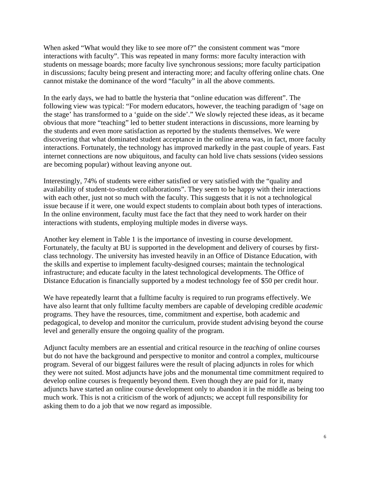When asked "What would they like to see more of?" the consistent comment was "more interactions with faculty". This was repeated in many forms: more faculty interaction with students on message boards; more faculty live synchronous sessions; more faculty participation in discussions; faculty being present and interacting more; and faculty offering online chats. One cannot mistake the dominance of the word "faculty" in all the above comments.

In the early days, we had to battle the hysteria that "online education was different". The following view was typical: "For modern educators, however, the teaching paradigm of 'sage on the stage' has transformed to a 'guide on the side'." We slowly rejected these ideas, as it became obvious that more "teaching" led to better student interactions in discussions, more learning by the students and even more satisfaction as reported by the students themselves. We were discovering that what dominated student acceptance in the online arena was, in fact, more faculty interactions. Fortunately, the technology has improved markedly in the past couple of years. Fast internet connections are now ubiquitous, and faculty can hold live chats sessions (video sessions are becoming popular) without leaving anyone out.

Interestingly, 74% of students were either satisfied or very satisfied with the "quality and availability of student-to-student collaborations". They seem to be happy with their interactions with each other, just not so much with the faculty. This suggests that it is not a technological issue because if it were, one would expect students to complain about both types of interactions. In the online environment, faculty must face the fact that they need to work harder on their interactions with students, employing multiple modes in diverse ways.

Another key element in Table 1 is the importance of investing in course development. Fortunately, the faculty at BU is supported in the development and delivery of courses by firstclass technology. The university has invested heavily in an Office of Distance Education, with the skills and expertise to implement faculty-designed courses; maintain the technological infrastructure; and educate faculty in the latest technological developments. The Office of Distance Education is financially supported by a modest technology fee of \$50 per credit hour.

We have repeatedly learnt that a fulltime faculty is required to run programs effectively. We have also learnt that only fulltime faculty members are capable of developing credible *academic* programs. They have the resources, time, commitment and expertise, both academic and pedagogical, to develop and monitor the curriculum, provide student advising beyond the course level and generally ensure the ongoing quality of the program.

Adjunct faculty members are an essential and critical resource in the *teaching* of online courses but do not have the background and perspective to monitor and control a complex, multicourse program. Several of our biggest failures were the result of placing adjuncts in roles for which they were not suited. Most adjuncts have jobs and the monumental time commitment required to develop online courses is frequently beyond them. Even though they are paid for it, many adjuncts have started an online course development only to abandon it in the middle as being too much work. This is not a criticism of the work of adjuncts; we accept full responsibility for asking them to do a job that we now regard as impossible.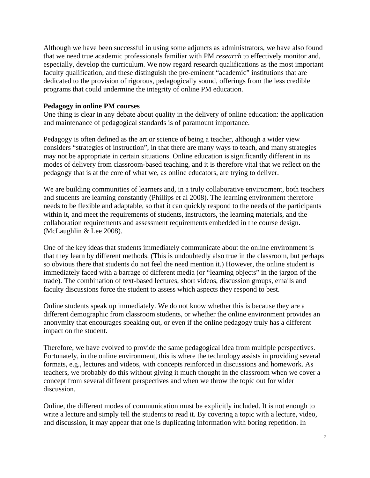Although we have been successful in using some adjuncts as administrators, we have also found that we need true academic professionals familiar with PM *research* to effectively monitor and, especially, develop the curriculum. We now regard research qualifications as the most important faculty qualification, and these distinguish the pre-eminent "academic" institutions that are dedicated to the provision of rigorous, pedagogically sound, offerings from the less credible programs that could undermine the integrity of online PM education.

#### **Pedagogy in online PM courses**

One thing is clear in any debate about quality in the delivery of online education: the application and maintenance of pedagogical standards is of paramount importance.

Pedagogy is often defined as the art or science of being a teacher, although a wider view considers "strategies of instruction", in that there are many ways to teach, and many strategies may not be appropriate in certain situations. Online education is significantly different in its modes of delivery from classroom-based teaching, and it is therefore vital that we reflect on the pedagogy that is at the core of what we, as online educators, are trying to deliver.

We are building communities of learners and, in a truly collaborative environment, both teachers and students are learning constantly (Phillips et al 2008). The learning environment therefore needs to be flexible and adaptable, so that it can quickly respond to the needs of the participants within it, and meet the requirements of students, instructors, the learning materials, and the collaboration requirements and assessment requirements embedded in the course design. (McLaughlin & Lee 2008).

One of the key ideas that students immediately communicate about the online environment is that they learn by different methods. (This is undoubtedly also true in the classroom, but perhaps so obvious there that students do not feel the need mention it.) However, the online student is immediately faced with a barrage of different media (or "learning objects" in the jargon of the trade). The combination of text-based lectures, short videos, discussion groups, emails and faculty discussions force the student to assess which aspects they respond to best.

Online students speak up immediately. We do not know whether this is because they are a different demographic from classroom students, or whether the online environment provides an anonymity that encourages speaking out, or even if the online pedagogy truly has a different impact on the student.

Therefore, we have evolved to provide the same pedagogical idea from multiple perspectives. Fortunately, in the online environment, this is where the technology assists in providing several formats, e.g., lectures and videos, with concepts reinforced in discussions and homework. As teachers, we probably do this without giving it much thought in the classroom when we cover a concept from several different perspectives and when we throw the topic out for wider discussion.

Online, the different modes of communication must be explicitly included. It is not enough to write a lecture and simply tell the students to read it. By covering a topic with a lecture, video, and discussion, it may appear that one is duplicating information with boring repetition. In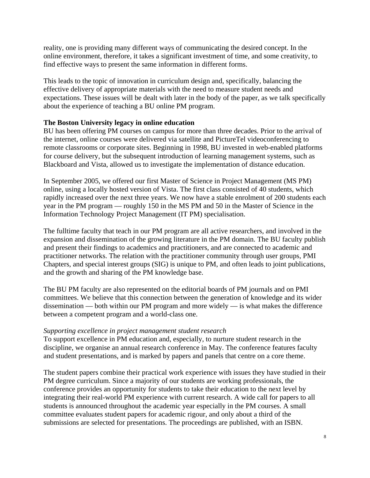reality, one is providing many different ways of communicating the desired concept. In the online environment, therefore, it takes a significant investment of time, and some creativity, to find effective ways to present the same information in different forms.

This leads to the topic of innovation in curriculum design and, specifically, balancing the effective delivery of appropriate materials with the need to measure student needs and expectations. These issues will be dealt with later in the body of the paper, as we talk specifically about the experience of teaching a BU online PM program.

# **The Boston University legacy in online education**

BU has been offering PM courses on campus for more than three decades. Prior to the arrival of the internet, online courses were delivered via satellite and PictureTel videoconferencing to remote classrooms or corporate sites. Beginning in 1998, BU invested in web-enabled platforms for course delivery, but the subsequent introduction of learning management systems, such as Blackboard and Vista, allowed us to investigate the implementation of distance education.

In September 2005, we offered our first Master of Science in Project Management (MS PM) online, using a locally hosted version of Vista. The first class consisted of 40 students, which rapidly increased over the next three years. We now have a stable enrolment of 200 students each year in the PM program — roughly 150 in the MS PM and 50 in the Master of Science in the Information Technology Project Management (IT PM) specialisation.

The fulltime faculty that teach in our PM program are all active researchers, and involved in the expansion and dissemination of the growing literature in the PM domain. The BU faculty publish and present their findings to academics and practitioners, and are connected to academic and practitioner networks. The relation with the practitioner community through user groups, PMI Chapters, and special interest groups (SIG) is unique to PM, and often leads to joint publications, and the growth and sharing of the PM knowledge base.

The BU PM faculty are also represented on the editorial boards of PM journals and on PMI committees. We believe that this connection between the generation of knowledge and its wider dissemination — both within our PM program and more widely — is what makes the difference between a competent program and a world-class one.

## *Supporting excellence in project management student research*

To support excellence in PM education and, especially, to nurture student research in the discipline, we organise an annual research conference in May. The conference features faculty and student presentations, and is marked by papers and panels that centre on a core theme.

The student papers combine their practical work experience with issues they have studied in their PM degree curriculum. Since a majority of our students are working professionals, the conference provides an opportunity for students to take their education to the next level by integrating their real-world PM experience with current research. A wide call for papers to all students is announced throughout the academic year especially in the PM courses. A small committee evaluates student papers for academic rigour, and only about a third of the submissions are selected for presentations. The proceedings are published, with an ISBN.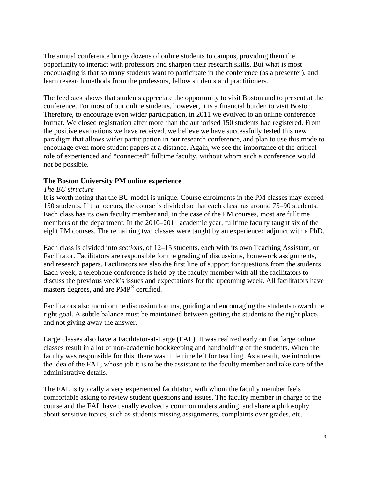The annual conference brings dozens of online students to campus, providing them the opportunity to interact with professors and sharpen their research skills. But what is most encouraging is that so many students want to participate in the conference (as a presenter), and learn research methods from the professors, fellow students and practitioners.

The feedback shows that students appreciate the opportunity to visit Boston and to present at the conference. For most of our online students, however, it is a financial burden to visit Boston. Therefore, to encourage even wider participation, in 2011 we evolved to an online conference format. We closed registration after more than the authorised 150 students had registered. From the positive evaluations we have received, we believe we have successfully tested this new paradigm that allows wider participation in our research conference, and plan to use this mode to encourage even more student papers at a distance. Again, we see the importance of the critical role of experienced and "connected" fulltime faculty, without whom such a conference would not be possible.

# **The Boston University PM online experience**

## *The BU structure*

It is worth noting that the BU model is unique. Course enrolments in the PM classes may exceed 150 students. If that occurs, the course is divided so that each class has around 75–90 students. Each class has its own faculty member and, in the case of the PM courses, most are fulltime members of the department. In the 2010–2011 academic year, fulltime faculty taught six of the eight PM courses. The remaining two classes were taught by an experienced adjunct with a PhD.

Each class is divided into *sections*, of 12–15 students, each with its own Teaching Assistant, or Facilitator. Facilitators are responsible for the grading of discussions, homework assignments, and research papers. Facilitators are also the first line of support for questions from the students. Each week, a telephone conference is held by the faculty member with all the facilitators to discuss the previous week's issues and expectations for the upcoming week. All facilitators have masters degrees, and are PMP® certified.

Facilitators also monitor the discussion forums, guiding and encouraging the students toward the right goal. A subtle balance must be maintained between getting the students to the right place, and not giving away the answer.

Large classes also have a Facilitator-at-Large (FAL). It was realized early on that large online classes result in a lot of non-academic bookkeeping and handholding of the students. When the faculty was responsible for this, there was little time left for teaching. As a result, we introduced the idea of the FAL, whose job it is to be the assistant to the faculty member and take care of the administrative details.

The FAL is typically a very experienced facilitator, with whom the faculty member feels comfortable asking to review student questions and issues. The faculty member in charge of the course and the FAL have usually evolved a common understanding, and share a philosophy about sensitive topics, such as students missing assignments, complaints over grades, etc.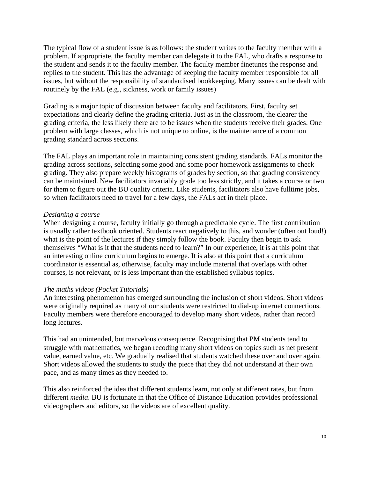The typical flow of a student issue is as follows: the student writes to the faculty member with a problem. If appropriate, the faculty member can delegate it to the FAL, who drafts a response to the student and sends it to the faculty member. The faculty member finetunes the response and replies to the student. This has the advantage of keeping the faculty member responsible for all issues, but without the responsibility of standardised bookkeeping. Many issues can be dealt with routinely by the FAL (e.g., sickness, work or family issues)

Grading is a major topic of discussion between faculty and facilitators. First, faculty set expectations and clearly define the grading criteria. Just as in the classroom, the clearer the grading criteria, the less likely there are to be issues when the students receive their grades. One problem with large classes, which is not unique to online, is the maintenance of a common grading standard across sections.

The FAL plays an important role in maintaining consistent grading standards. FALs monitor the grading across sections, selecting some good and some poor homework assignments to check grading. They also prepare weekly histograms of grades by section, so that grading consistency can be maintained. New facilitators invariably grade too less strictly, and it takes a course or two for them to figure out the BU quality criteria. Like students, facilitators also have fulltime jobs, so when facilitators need to travel for a few days, the FALs act in their place.

#### *Designing a course*

When designing a course, faculty initially go through a predictable cycle. The first contribution is usually rather textbook oriented. Students react negatively to this, and wonder (often out loud!) what is the point of the lectures if they simply follow the book. Faculty then begin to ask themselves "What is it that the students need to learn?" In our experience, it is at this point that an interesting online curriculum begins to emerge. It is also at this point that a curriculum coordinator is essential as, otherwise, faculty may include material that overlaps with other courses, is not relevant, or is less important than the established syllabus topics.

## *The maths videos (Pocket Tutorials)*

An interesting phenomenon has emerged surrounding the inclusion of short videos. Short videos were originally required as many of our students were restricted to dial-up internet connections. Faculty members were therefore encouraged to develop many short videos, rather than record long lectures.

This had an unintended, but marvelous consequence. Recognising that PM students tend to struggle with mathematics, we began recoding many short videos on topics such as net present value, earned value, etc. We gradually realised that students watched these over and over again. Short videos allowed the students to study the piece that they did not understand at their own pace, and as many times as they needed to.

This also reinforced the idea that different students learn, not only at different rates, but from different *media*. BU is fortunate in that the Office of Distance Education provides professional videographers and editors, so the videos are of excellent quality.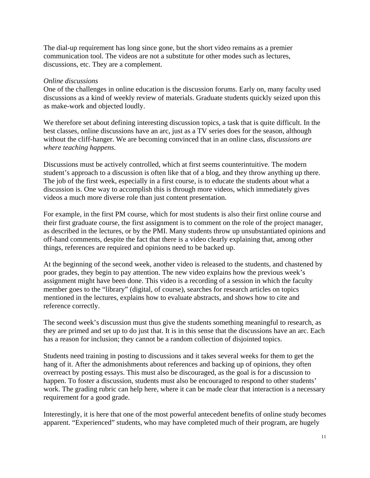The dial-up requirement has long since gone, but the short video remains as a premier communication tool. The videos are not a substitute for other modes such as lectures, discussions, etc. They are a complement.

## *Online discussions*

One of the challenges in online education is the discussion forums. Early on, many faculty used discussions as a kind of weekly review of materials. Graduate students quickly seized upon this as make-work and objected loudly.

We therefore set about defining interesting discussion topics, a task that is quite difficult. In the best classes, online discussions have an arc, just as a TV series does for the season, although without the cliff-hanger. We are becoming convinced that in an online class, *discussions are where teaching happens*.

Discussions must be actively controlled, which at first seems counterintuitive. The modern student's approach to a discussion is often like that of a blog, and they throw anything up there. The job of the first week, especially in a first course, is to educate the students about what a discussion is. One way to accomplish this is through more videos, which immediately gives videos a much more diverse role than just content presentation.

For example, in the first PM course, which for most students is also their first online course and their first graduate course, the first assignment is to comment on the role of the project manager, as described in the lectures, or by the PMI. Many students throw up unsubstantiated opinions and off-hand comments, despite the fact that there is a video clearly explaining that, among other things, references are required and opinions need to be backed up.

At the beginning of the second week, another video is released to the students, and chastened by poor grades, they begin to pay attention. The new video explains how the previous week's assignment might have been done. This video is a recording of a session in which the faculty member goes to the "library" (digital, of course), searches for research articles on topics mentioned in the lectures, explains how to evaluate abstracts, and shows how to cite and reference correctly.

The second week's discussion must thus give the students something meaningful to research, as they are primed and set up to do just that. It is in this sense that the discussions have an arc. Each has a reason for inclusion; they cannot be a random collection of disjointed topics.

Students need training in posting to discussions and it takes several weeks for them to get the hang of it. After the admonishments about references and backing up of opinions, they often overreact by posting essays. This must also be discouraged, as the goal is for a discussion to happen. To foster a discussion, students must also be encouraged to respond to other students' work. The grading rubric can help here, where it can be made clear that interaction is a necessary requirement for a good grade.

Interestingly, it is here that one of the most powerful antecedent benefits of online study becomes apparent. "Experienced" students, who may have completed much of their program, are hugely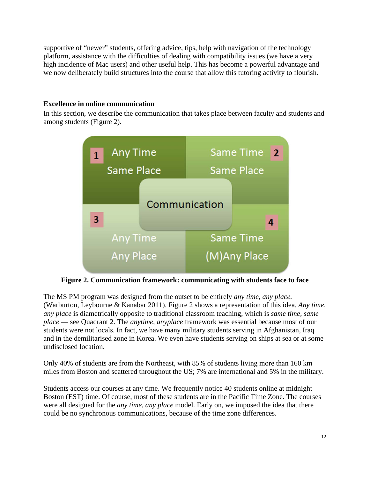supportive of "newer" students, offering advice, tips, help with navigation of the technology platform, assistance with the difficulties of dealing with compatibility issues (we have a very high incidence of Mac users) and other useful help. This has become a powerful advantage and we now deliberately build structures into the course that allow this tutoring activity to flourish.

# **Excellence in online communication**

In this section, we describe the communication that takes place between faculty and students and among students (Figure 2).



**Figure 2. Communication framework: communicating with students face to face**

The MS PM program was designed from the outset to be entirely *any time, any place.* (Warburton, Leybourne & Kanabar 2011). Figure 2 shows a representation of this idea. *Any time, any place* is diametrically opposite to traditional classroom teaching, which is *same time, same place* — see Quadrant 2. The *anytime, anyplace* framework was essential because most of our students were not locals. In fact, we have many military students serving in Afghanistan, Iraq and in the demilitarised zone in Korea. We even have students serving on ships at sea or at some undisclosed location.

Only 40% of students are from the Northeast, with 85% of students living more than 160 km miles from Boston and scattered throughout the US; 7% are international and 5% in the military.

Students access our courses at any time. We frequently notice 40 students online at midnight Boston (EST) time. Of course, most of these students are in the Pacific Time Zone. The courses were all designed for the *any time, any place* model. Early on, we imposed the idea that there could be no synchronous communications, because of the time zone differences.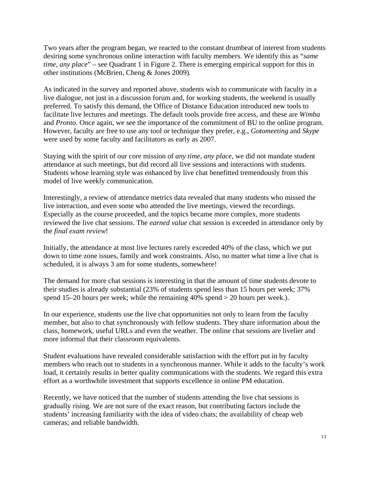Two years after the program began, we reacted to the constant drumbeat of interest from students desiring some synchronous online interaction with faculty members. We identify this as "*same time, any place*" – see Quadrant 1 in Figure 2. There is emerging empirical support for this in other institutions (McBrien, Cheng & Jones 2009).

As indicated in the survey and reported above, students wish to communicate with faculty in a live dialogue, not just in a discussion forum and, for working students, the weekend is usually preferred. To satisfy this demand, the Office of Distance Education introduced new tools to facilitate live lectures and meetings. The default tools provide free access, and these are *Wimba* and *Pronto*. Once again, we see the importance of the commitment of BU to the online program. However, faculty are free to use any tool or technique they prefer, e.g., *Gotomeeting* and *Skype* were used by some faculty and facilitators as early as 2007.

Staying with the spirit of our core mission of *any time, any place,* we did not mandate student attendance at such meetings, but did record all live sessions and interactions with students. Students whose learning style was enhanced by live chat benefitted tremendously from this model of live weekly communication.

Interestingly, a review of attendance metrics data revealed that many students who missed the live interaction, and even some who attended the live meetings, viewed the recordings. Especially as the course proceeded, and the topics became more complex, more students reviewed the live chat sessions. The *earned value* chat session is exceeded in attendance only by the *final exam review*!

Initially, the attendance at most live lectures rarely exceeded 40% of the class, which we put down to time zone issues, family and work constraints. Also, no matter what time a live chat is scheduled, it is always 3 am for some students, somewhere!

The demand for more chat sessions is interesting in that the amount of time students devote to their studies is already substantial (23% of students spend less than 15 hours per week; 37% spend 15–20 hours per week; while the remaining 40% spend > 20 hours per week.).

In our experience, students use the live chat opportunities not only to learn from the faculty member, but also to chat synchronously with fellow students. They share information about the class, homework, useful URLs and even the weather. The online chat sessions are livelier and more informal that their classroom equivalents.

Student evaluations have revealed considerable satisfaction with the effort put in by faculty members who reach out to students in a synchronous manner. While it adds to the faculty's work load, it certainly results in better quality communications with the students. We regard this extra effort as a worthwhile investment that supports excellence in online PM education.

Recently, we have noticed that the number of students attending the live chat sessions is gradually rising. We are not sure of the exact reason, but contributing factors include the students' increasing familiarity with the idea of video chats; the availability of cheap web cameras; and reliable bandwidth.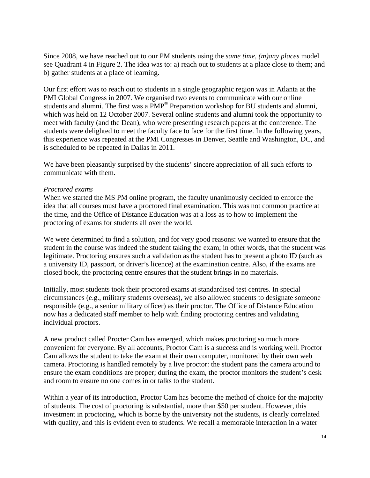Since 2008, we have reached out to our PM students using the *same time, (m)any places* model see Quadrant 4 in Figure 2. The idea was to: a) reach out to students at a place close to them; and b) gather students at a place of learning.

Our first effort was to reach out to students in a single geographic region was in Atlanta at the PMI Global Congress in 2007. We organised two events to communicate with our online students and alumni. The first was a PMP® Preparation workshop for BU students and alumni, which was held on 12 October 2007. Several online students and alumni took the opportunity to meet with faculty (and the Dean), who were presenting research papers at the conference. The students were delighted to meet the faculty face to face for the first time. In the following years, this experience was repeated at the PMI Congresses in Denver, Seattle and Washington, DC, and is scheduled to be repeated in Dallas in 2011.

We have been pleasantly surprised by the students' sincere appreciation of all such efforts to communicate with them.

#### *Proctored exams*

When we started the MS PM online program, the faculty unanimously decided to enforce the idea that all courses must have a proctored final examination. This was not common practice at the time, and the Office of Distance Education was at a loss as to how to implement the proctoring of exams for students all over the world.

We were determined to find a solution, and for very good reasons: we wanted to ensure that the student in the course was indeed the student taking the exam; in other words, that the student was legitimate. Proctoring ensures such a validation as the student has to present a photo ID (such as a university ID, passport, or driver's licence) at the examination centre. Also, if the exams are closed book, the proctoring centre ensures that the student brings in no materials.

Initially, most students took their proctored exams at standardised test centres. In special circumstances (e.g., military students overseas), we also allowed students to designate someone responsible (e.g., a senior military officer) as their proctor. The Office of Distance Education now has a dedicated staff member to help with finding proctoring centres and validating individual proctors.

A new product called Procter Cam has emerged, which makes proctoring so much more convenient for everyone. By all accounts, Proctor Cam is a success and is working well. Proctor Cam allows the student to take the exam at their own computer, monitored by their own web camera. Proctoring is handled remotely by a live proctor: the student pans the camera around to ensure the exam conditions are proper; during the exam, the proctor monitors the student's desk and room to ensure no one comes in or talks to the student.

Within a year of its introduction, Proctor Cam has become the method of choice for the majority of students. The cost of proctoring is substantial, more than \$50 per student. However, this investment in proctoring, which is borne by the university not the students, is clearly correlated with quality, and this is evident even to students. We recall a memorable interaction in a water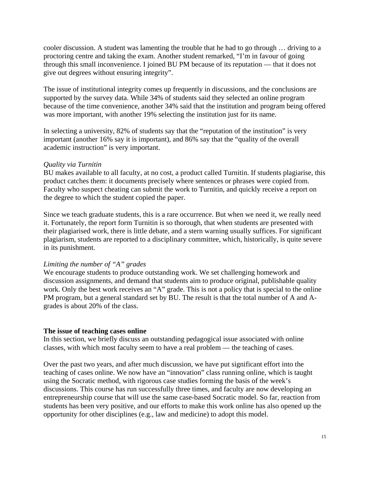cooler discussion. A student was lamenting the trouble that he had to go through … driving to a proctoring centre and taking the exam. Another student remarked, "I'm in favour of going through this small inconvenience. I joined BU PM because of its reputation — that it does not give out degrees without ensuring integrity".

The issue of institutional integrity comes up frequently in discussions, and the conclusions are supported by the survey data. While 34% of students said they selected an online program because of the time convenience, another 34% said that the institution and program being offered was more important, with another 19% selecting the institution just for its name.

In selecting a university, 82% of students say that the "reputation of the institution" is very important (another 16% say it is important), and 86% say that the "quality of the overall academic instruction" is very important.

## *Quality via Turnitin*

BU makes available to all faculty, at no cost, a product called Turnitin. If students plagiarise, this product catches them: it documents precisely where sentences or phrases were copied from. Faculty who suspect cheating can submit the work to Turnitin, and quickly receive a report on the degree to which the student copied the paper.

Since we teach graduate students, this is a rare occurrence. But when we need it, we really need it. Fortunately, the report form Turnitin is so thorough, that when students are presented with their plagiarised work, there is little debate, and a stern warning usually suffices. For significant plagiarism, students are reported to a disciplinary committee, which, historically, is quite severe in its punishment.

# *Limiting the number of "A" grades*

We encourage students to produce outstanding work. We set challenging homework and discussion assignments, and demand that students aim to produce original, publishable quality work. Only the best work receives an "A" grade. This is not a policy that is special to the online PM program, but a general standard set by BU. The result is that the total number of A and Agrades is about 20% of the class.

# **The issue of teaching cases online**

In this section, we briefly discuss an outstanding pedagogical issue associated with online classes, with which most faculty seem to have a real problem — the teaching of cases.

Over the past two years, and after much discussion, we have put significant effort into the teaching of cases online. We now have an "innovation" class running online, which is taught using the Socratic method, with rigorous case studies forming the basis of the week's discussions. This course has run successfully three times, and faculty are now developing an entrepreneurship course that will use the same case-based Socratic model. So far, reaction from students has been very positive, and our efforts to make this work online has also opened up the opportunity for other disciplines (e.g., law and medicine) to adopt this model.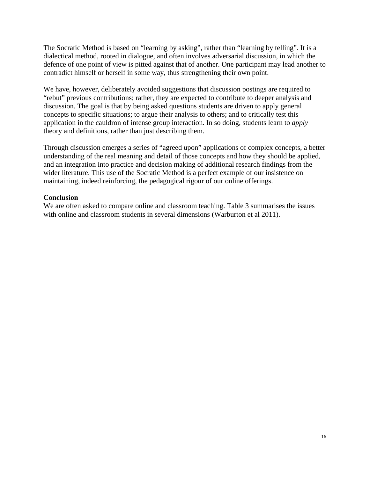The Socratic Method is based on "learning by asking", rather than "learning by telling". It is a dialectical method, rooted in dialogue, and often involves adversarial discussion, in which the defence of one point of view is pitted against that of another. One participant may lead another to contradict himself or herself in some way, thus strengthening their own point.

We have, however, deliberately avoided suggestions that discussion postings are required to "rebut" previous contributions; rather, they are expected to contribute to deeper analysis and discussion. The goal is that by being asked questions students are driven to apply general concepts to specific situations; to argue their analysis to others; and to critically test this application in the cauldron of intense group interaction. In so doing, students learn to *apply* theory and definitions, rather than just describing them.

Through discussion emerges a series of "agreed upon" applications of complex concepts, a better understanding of the real meaning and detail of those concepts and how they should be applied, and an integration into practice and decision making of additional research findings from the wider literature. This use of the Socratic Method is a perfect example of our insistence on maintaining, indeed reinforcing, the pedagogical rigour of our online offerings.

# **Conclusion**

We are often asked to compare online and classroom teaching. Table 3 summarises the issues with online and classroom students in several dimensions (Warburton et al 2011).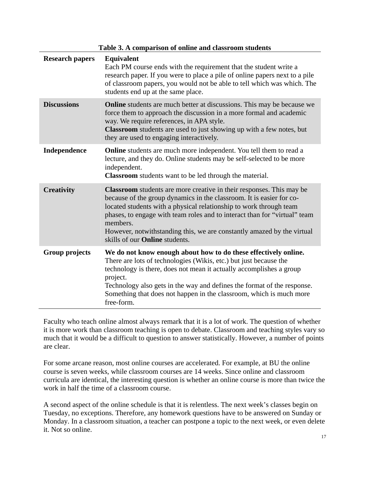| Table 3. A comparison of online and classroom students |                                                                                                                                                                                                                                                                                                                                                                                                                                       |
|--------------------------------------------------------|---------------------------------------------------------------------------------------------------------------------------------------------------------------------------------------------------------------------------------------------------------------------------------------------------------------------------------------------------------------------------------------------------------------------------------------|
| <b>Research papers</b>                                 | <b>Equivalent</b><br>Each PM course ends with the requirement that the student write a<br>research paper. If you were to place a pile of online papers next to a pile<br>of classroom papers, you would not be able to tell which was which. The<br>students end up at the same place.                                                                                                                                                |
| <b>Discussions</b>                                     | <b>Online</b> students are much better at discussions. This may be because we<br>force them to approach the discussion in a more formal and academic<br>way. We require references, in APA style.<br><b>Classroom</b> students are used to just showing up with a few notes, but<br>they are used to engaging interactively.                                                                                                          |
| Independence                                           | <b>Online</b> students are much more independent. You tell them to read a<br>lecture, and they do. Online students may be self-selected to be more<br>independent.<br>Classroom students want to be led through the material.                                                                                                                                                                                                         |
| <b>Creativity</b>                                      | <b>Classroom</b> students are more creative in their responses. This may be<br>because of the group dynamics in the classroom. It is easier for co-<br>located students with a physical relationship to work through team<br>phases, to engage with team roles and to interact than for "virtual" team<br>members.<br>However, notwithstanding this, we are constantly amazed by the virtual<br>skills of our <b>Online</b> students. |
| <b>Group projects</b>                                  | We do not know enough about how to do these effectively online.<br>There are lots of technologies (Wikis, etc.) but just because the<br>technology is there, does not mean it actually accomplishes a group<br>project.<br>Technology also gets in the way and defines the format of the response.<br>Something that does not happen in the classroom, which is much more<br>free-form.                                               |

Faculty who teach online almost always remark that it is a lot of work. The question of whether it is more work than classroom teaching is open to debate. Classroom and teaching styles vary so much that it would be a difficult to question to answer statistically. However, a number of points are clear.

For some arcane reason, most online courses are accelerated. For example, at BU the online course is seven weeks, while classroom courses are 14 weeks. Since online and classroom curricula are identical, the interesting question is whether an online course is more than twice the work in half the time of a classroom course.

A second aspect of the online schedule is that it is relentless. The next week's classes begin on Tuesday, no exceptions. Therefore, any homework questions have to be answered on Sunday or Monday. In a classroom situation, a teacher can postpone a topic to the next week, or even delete it. Not so online.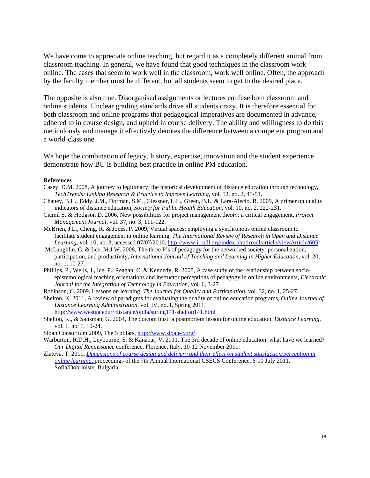We have come to appreciate online teaching, but regard it as a completely different animal from classroom teaching. In general, we have found that good techniques in the classroom work online. The cases that seem to work well in the classroom, work well online. Often, the approach by the faculty member must be different, but all students seem to get to the desired place.

The opposite is also true. Disorganised assignments or lectures confuse both classroom and online students. Unclear grading standards drive all students crazy. It is therefore essential for both classroom and online programs that pedagogical imperatives are documented in advance, adhered to in course design, and upheld in course delivery. The ability and willingness to do this meticulously and manage it effectively denotes the difference between a competent program and a world-class one.

We hope the combination of legacy, history, expertise, innovation and the student experience demonstrate how BU is building best practice in online PM education.

#### **References**

- Casey, D.M. 2008, A journey to legitimacy: the historical development of distance education through technology, *TechTrends: Linking Research & Practice to Improve Learning*, vol. 52, no. 2, 45-51.
- Chaney, B.H., Eddy, J.M., Dorman, S.M., Glessner, L.L., Green, B.L. & Lara-Alecio, R. 2009, A primer on quality indicators of distance education, *Society for Public Health Education*, vol. 10, no. 2, 222-231.
- Cicmil S. & Hodgson D. 2006, New possibilities for project management theory: a critical engagement, *Project Management Journal*, vol. 37, no. 3, 111-122.
- McBrien, J.L., Cheng, R. & Jones, P. 2009, Virtual spaces: employing a synchronous online classroom to facilitate student engagement in online learning, *The International Review of Research in Open and Distance Learning*, vol. 10, no. 3, accessed 07/07/2010, http://www.irrodl.org/index.php/irrodl/article/viewArticle/605
- McLaughlin, C. & Lee, M.J.W. 2008, The three P's of pedagogy for the networked society: personalization, participation, and productivity, *International Journal of Teaching and Learning in Higher Education*, vol. 20, no. 1, 10-27.
- Phillips, P., Wells, J., Ice, P., Reagan, C. & Kennedy, R. 2008, A case study of the relationship between socioepistemological teaching orientations and instructor perceptions of pedagogy in online environments, *Electronic Journal for the Integration of Technology in Education*, vol. 6, 3-27
- Robinson, C. 2009, Lessons on learning, *The Journal for Quality and Participation*, vol. 32, no. 1, 25-27.
- Shelton, K. 2011, A review of paradigms for evaluating the quality of online education programs, *Online Journal of Distance Learning Administration*, vol. IV, no. I, Spring 2011, http://www.westga.edu/~distance/ojdla/spring141/shelton141.html
- Shelton, K., & Saltsman, G. 2004, The dotcom bust: a postmortem lesson for online education, *Distance Learning*, vol. 1, no. 1, 19-24.
- Sloan Consortium 2009, The 5 pillars, http://www.sloan-c.org/
- Warburton, R.D.H., Leybourne, S. & Kanabar, V. 2011, The 3rd decade of online education: what have we learned? *Our Digital Renaissance* conference, Florence, Italy, 10-12 November 2011.
- Zlateva, T. 2011, *Dimensions of course design and delivery and their effect on student satisfaction/perception in online learning,* proceedings of the 7th Annual International CSECS Conference, 6-10 July 2011, Sofia/Dobriniste, Bulgaria.